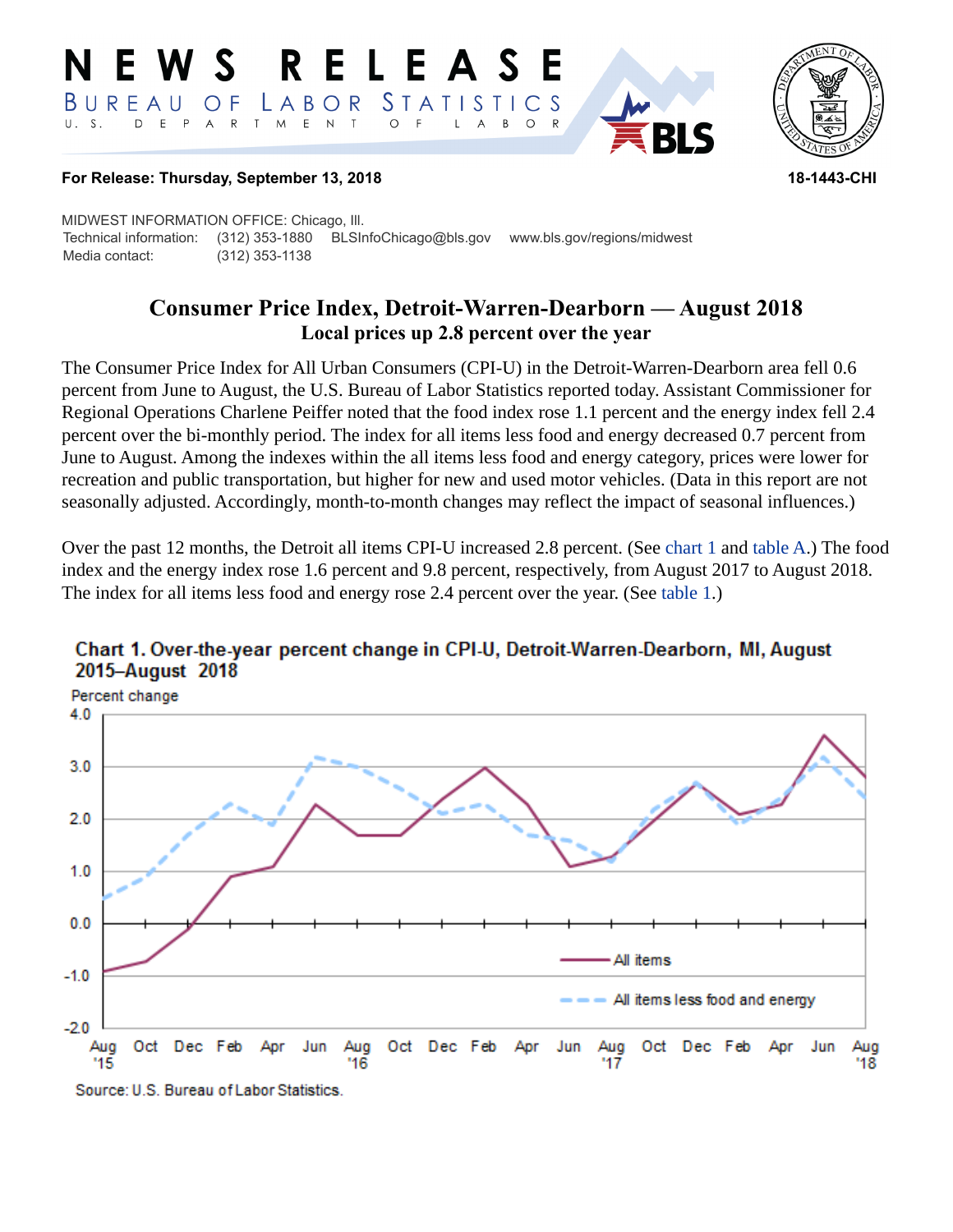#### RELEASE E W S *STATISTICS* BUREAU LABOR O F D E P  $\mathsf{R}$ T M  $E$  N  $\top$  $U. S.$  $A$  $\circ$  $\overline{A}$  $B$  $\circ$



#### **For Release: Thursday, September 13, 2018 18-1443-CHI**

MIDWEST INFORMATION OFFICE: Chicago, Ill. Technical information: (312) 353-1880 BLSInfoChicago@bls.gov www.bls.gov/regions/midwest Media contact: (312) 353-1138

# **Consumer Price Index, Detroit-Warren-Dearborn — August 2018 Local prices up 2.8 percent over the year**

The Consumer Price Index for All Urban Consumers (CPI-U) in the Detroit-Warren-Dearborn area fell 0.6 percent from June to August, the U.S. Bureau of Labor Statistics reported today. Assistant Commissioner for Regional Operations Charlene Peiffer noted that the food index rose 1.1 percent and the energy index fell 2.4 percent over the bi-monthly period. The index for all items less food and energy decreased 0.7 percent from June to August. Among the indexes within the all items less food and energy category, prices were lower for recreation and public transportation, but higher for new and used motor vehicles. (Data in this report are not seasonally adjusted. Accordingly, month-to-month changes may reflect the impact of seasonal influences.)

Over the past 12 months, the Detroit all items CPI-U increased 2.8 percent. (See [chart 1](#page-0-0) and [table A](#page-1-0).) The food index and the energy index rose 1.6 percent and 9.8 percent, respectively, from August 2017 to August 2018. The index for all items less food and energy rose 2.4 percent over the year. (See [table 1](#page-3-0).)



## <span id="page-0-0"></span>Chart 1. Over-the-year percent change in CPI-U, Detroit-Warren-Dearborn, MI, August 2015-August 2018

Source: U.S. Bureau of Labor Statistics.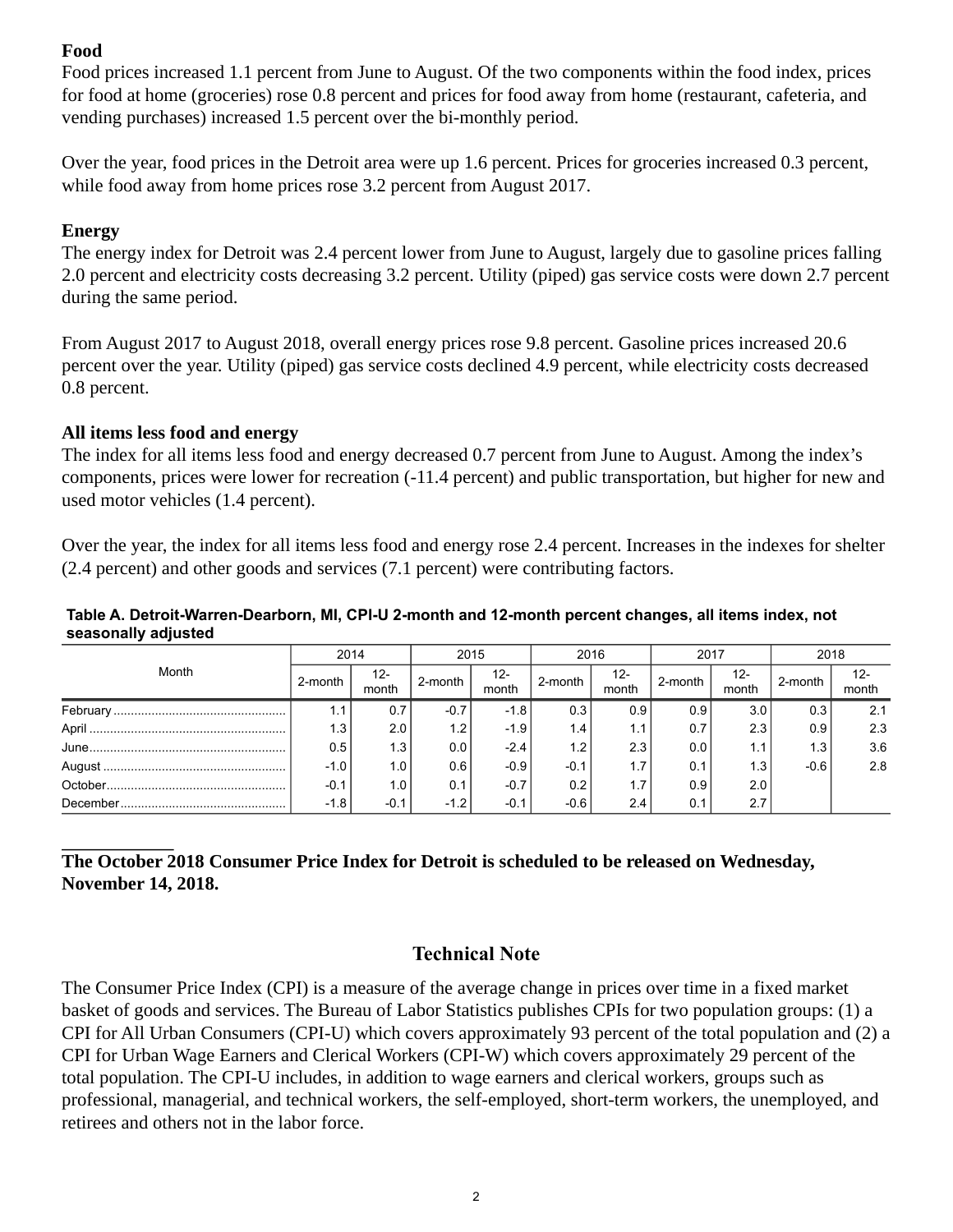## **Food**

Food prices increased 1.1 percent from June to August. Of the two components within the food index, prices for food at home (groceries) rose 0.8 percent and prices for food away from home (restaurant, cafeteria, and vending purchases) increased 1.5 percent over the bi-monthly period.

Over the year, food prices in the Detroit area were up 1.6 percent. Prices for groceries increased 0.3 percent, while food away from home prices rose 3.2 percent from August 2017.

### **Energy**

The energy index for Detroit was 2.4 percent lower from June to August, largely due to gasoline prices falling 2.0 percent and electricity costs decreasing 3.2 percent. Utility (piped) gas service costs were down 2.7 percent during the same period.

From August 2017 to August 2018, overall energy prices rose 9.8 percent. Gasoline prices increased 20.6 percent over the year. Utility (piped) gas service costs declined 4.9 percent, while electricity costs decreased 0.8 percent.

### **All items less food and energy**

The index for all items less food and energy decreased 0.7 percent from June to August. Among the index's components, prices were lower for recreation (-11.4 percent) and public transportation, but higher for new and used motor vehicles (1.4 percent).

Over the year, the index for all items less food and energy rose 2.4 percent. Increases in the indexes for shelter (2.4 percent) and other goods and services (7.1 percent) were contributing factors.

#### <span id="page-1-0"></span>**Table A. Detroit-Warren-Dearborn, MI, CPI-U 2-month and 12-month percent changes, all items index, not seasonally adjusted**

| Month | 2014    |                  | 2015             |                 | 2016             |                 | 2017    |              | 2018    |                            |
|-------|---------|------------------|------------------|-----------------|------------------|-----------------|---------|--------------|---------|----------------------------|
|       | 2-month | $12 -$<br>month  | 2-month          | $12 -$<br>month | 2-month          | $12 -$<br>month | 2-month | 12-<br>month | 2-month | 12-<br>$m$ <sub>onth</sub> |
|       |         | 0.7              | -0.7             | -1.8            | 0.3              | 0.9             | 0.9     | 3.0          | 0.3     | 2.1                        |
|       | 1.3     | 2.0              | 1.2 <sub>1</sub> | $-1.9$          | 1.4              | 1.1             | 0.7     | 2.3          | 0.9     | 2.3                        |
|       | 0.5     | 1.3              | 0.0              | $-2.4$          | 1.2 <sub>1</sub> | 2.3             | 0.0     | 1.1          | 1.3     | 3.6                        |
|       | $-1.0$  | 1.0 <sub>l</sub> | 0.6              | $-0.9$          | $-0.1$           | 1.7             | 0.1     | 1.3          | $-0.6$  | 2.8                        |
|       | $-0.1$  | 1.0 <sub>l</sub> | 0.1              | $-0.7$          | 0.2              | 1.7             | 0.9     | 2.0          |         |                            |
|       | $-1.8$  | $-0.1$           | $-1.2$           | $-0.1$          | $-0.6$           | 2.4             | 0.1     | 2.7          |         |                            |

## **The October 2018 Consumer Price Index for Detroit is scheduled to be released on Wednesday, November 14, 2018.**

## **Technical Note**

The Consumer Price Index (CPI) is a measure of the average change in prices over time in a fixed market basket of goods and services. The Bureau of Labor Statistics publishes CPIs for two population groups: (1) a CPI for All Urban Consumers (CPI-U) which covers approximately 93 percent of the total population and (2) a CPI for Urban Wage Earners and Clerical Workers (CPI-W) which covers approximately 29 percent of the total population. The CPI-U includes, in addition to wage earners and clerical workers, groups such as professional, managerial, and technical workers, the self-employed, short-term workers, the unemployed, and retirees and others not in the labor force.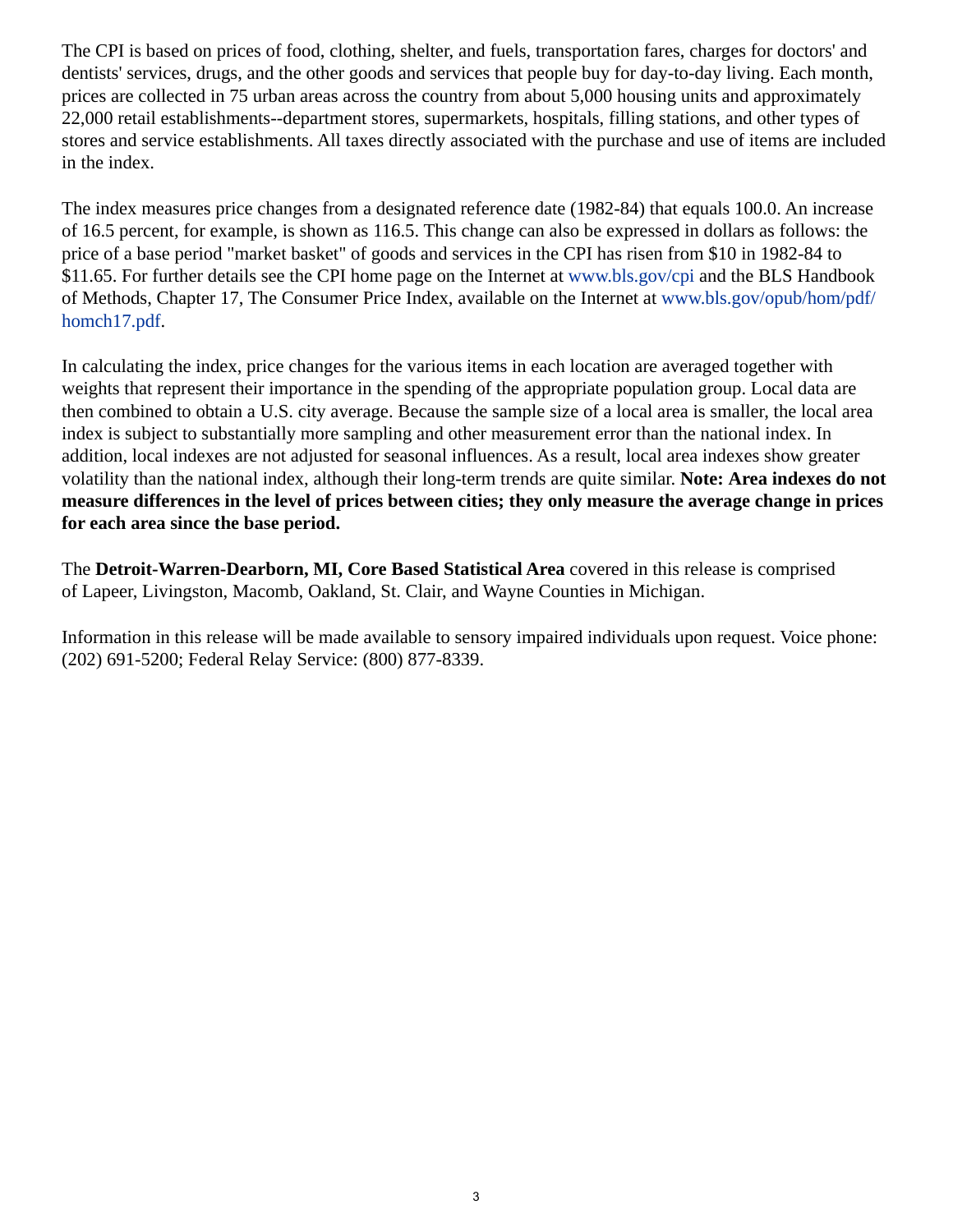The CPI is based on prices of food, clothing, shelter, and fuels, transportation fares, charges for doctors' and dentists' services, drugs, and the other goods and services that people buy for day-to-day living. Each month, prices are collected in 75 urban areas across the country from about 5,000 housing units and approximately 22,000 retail establishments--department stores, supermarkets, hospitals, filling stations, and other types of stores and service establishments. All taxes directly associated with the purchase and use of items are included in the index.

The index measures price changes from a designated reference date (1982-84) that equals 100.0. An increase of 16.5 percent, for example, is shown as 116.5. This change can also be expressed in dollars as follows: the price of a base period "market basket" of goods and services in the CPI has risen from \$10 in 1982-84 to \$11.65. For further details see the CPI home page on the Internet at [www.bls.gov/cpi](https://www.bls.gov/cpi) and the BLS Handbook of Methods, Chapter 17, The Consumer Price Index, available on the Internet at [www.bls.gov/opub/hom/pdf/](https://www.bls.gov/opub/hom/pdf/homch17.pdf) [homch17.pdf](https://www.bls.gov/opub/hom/pdf/homch17.pdf).

In calculating the index, price changes for the various items in each location are averaged together with weights that represent their importance in the spending of the appropriate population group. Local data are then combined to obtain a U.S. city average. Because the sample size of a local area is smaller, the local area index is subject to substantially more sampling and other measurement error than the national index. In addition, local indexes are not adjusted for seasonal influences. As a result, local area indexes show greater volatility than the national index, although their long-term trends are quite similar. **Note: Area indexes do not measure differences in the level of prices between cities; they only measure the average change in prices for each area since the base period.**

The **Detroit-Warren-Dearborn, MI, Core Based Statistical Area** covered in this release is comprised of Lapeer, Livingston, Macomb, Oakland, St. Clair, and Wayne Counties in Michigan.

Information in this release will be made available to sensory impaired individuals upon request. Voice phone: (202) 691-5200; Federal Relay Service: (800) 877-8339.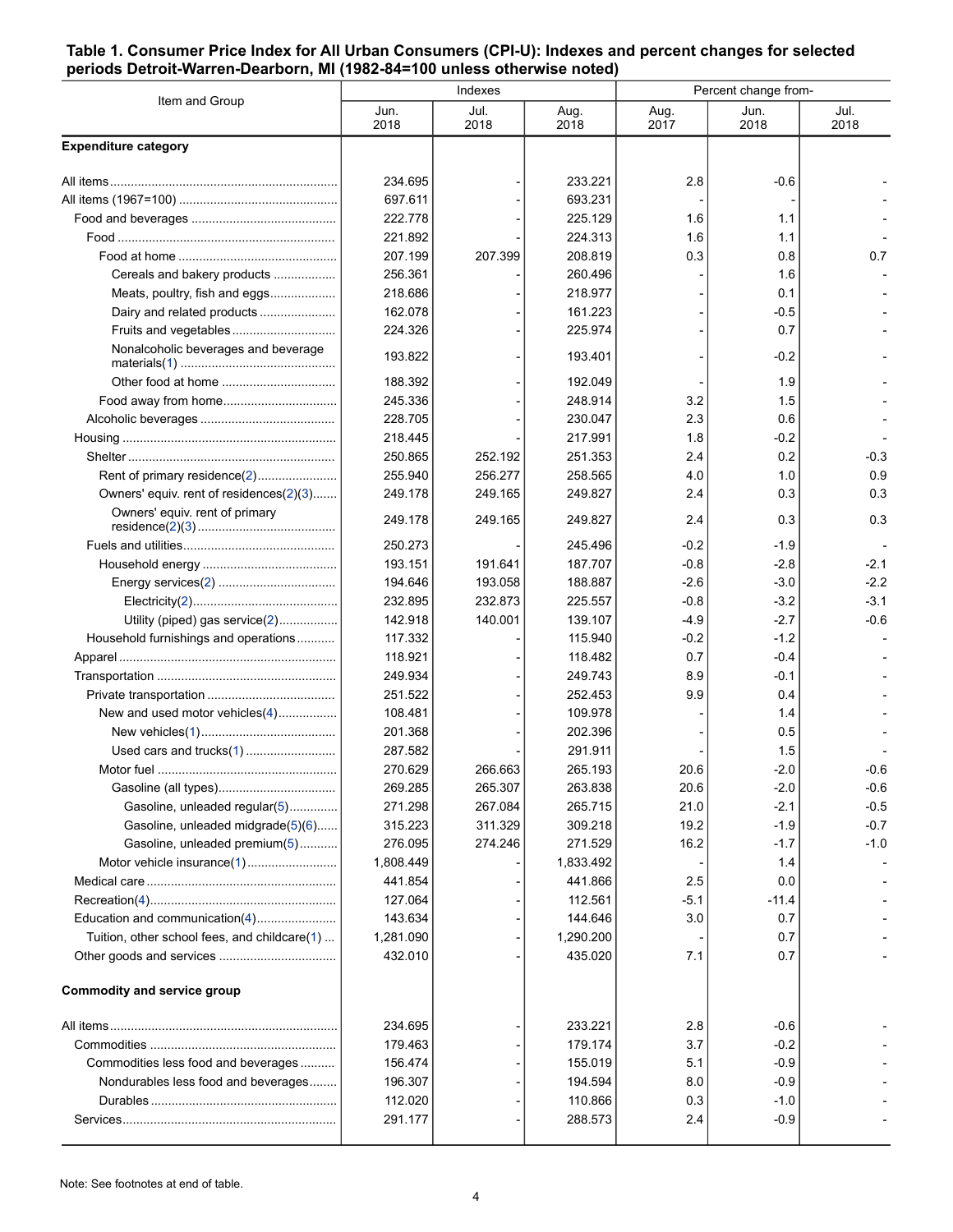#### <span id="page-3-0"></span>**Table 1. Consumer Price Index for All Urban Consumers (CPI-U): Indexes and percent changes for selected periods Detroit-Warren-Dearborn, MI (1982-84=100 unless otherwise noted)**

| Item and Group                               |              | Indexes      |              | Percent change from- |              |              |  |
|----------------------------------------------|--------------|--------------|--------------|----------------------|--------------|--------------|--|
|                                              | Jun.<br>2018 | Jul.<br>2018 | Aug.<br>2018 | Aug.<br>2017         | Jun.<br>2018 | Jul.<br>2018 |  |
| <b>Expenditure category</b>                  |              |              |              |                      |              |              |  |
|                                              | 234.695      |              | 233.221      | 2.8                  | $-0.6$       |              |  |
|                                              | 697.611      |              | 693.231      |                      |              |              |  |
|                                              | 222.778      |              | 225.129      | 1.6                  | 1.1          |              |  |
|                                              | 221.892      |              | 224.313      | 1.6                  | 1.1          |              |  |
|                                              | 207.199      | 207.399      | 208.819      | 0.3                  | 0.8          | 0.7          |  |
| Cereals and bakery products                  | 256.361      |              | 260.496      |                      | 1.6          |              |  |
| Meats, poultry, fish and eggs                | 218.686      |              | 218.977      |                      | 0.1          |              |  |
| Dairy and related products                   | 162.078      |              | 161.223      |                      | $-0.5$       |              |  |
| Fruits and vegetables                        | 224.326      |              | 225.974      |                      | 0.7          |              |  |
| Nonalcoholic beverages and beverage          | 193.822      |              | 193.401      |                      | $-0.2$       |              |  |
|                                              | 188.392      |              | 192.049      |                      | 1.9          |              |  |
|                                              | 245.336      |              | 248.914      | 3.2                  | 1.5          |              |  |
|                                              | 228.705      |              | 230.047      | 2.3                  | 0.6          |              |  |
|                                              | 218.445      |              | 217.991      | 1.8                  | $-0.2$       |              |  |
|                                              | 250.865      | 252.192      | 251.353      | 2.4                  | 0.2          | $-0.3$       |  |
| Rent of primary residence(2)                 | 255.940      | 256.277      | 258.565      | 4.0                  | 1.0          | 0.9          |  |
| Owners' equiv. rent of residences(2)(3)      | 249.178      | 249.165      | 249.827      | 2.4                  | 0.3          | 0.3          |  |
| Owners' equiv. rent of primary               | 249.178      | 249.165      | 249.827      | 2.4                  | 0.3          | 0.3          |  |
|                                              | 250.273      |              | 245.496      | $-0.2$               | $-1.9$       |              |  |
|                                              | 193.151      | 191.641      | 187.707      | $-0.8$               | $-2.8$       | $-2.1$       |  |
|                                              | 194.646      | 193.058      | 188.887      | -2.6                 | $-3.0$       | $-2.2$       |  |
|                                              | 232.895      | 232.873      | 225.557      | $-0.8$               | $-3.2$       | $-3.1$       |  |
| Utility (piped) gas service(2)               | 142.918      | 140.001      | 139.107      | -4.9                 | -2.7         | $-0.6$       |  |
| Household furnishings and operations         | 117.332      |              | 115.940      | $-0.2$               | $-1.2$       |              |  |
|                                              | 118.921      |              | 118.482      | 0.7                  | $-0.4$       |              |  |
|                                              | 249.934      |              | 249.743      | 8.9                  | $-0.1$       |              |  |
|                                              | 251.522      |              | 252.453      | 9.9                  | 0.4          |              |  |
| New and used motor vehicles(4)               | 108.481      |              | 109.978      |                      | 1.4          |              |  |
|                                              | 201.368      |              | 202.396      |                      | 0.5          |              |  |
| Used cars and trucks(1)                      | 287.582      |              | 291.911      |                      | 1.5          |              |  |
|                                              | 270.629      | 266.663      | 265.193      | 20.6                 | $-2.0$       | $-0.6$       |  |
|                                              | 269.285      | 265.307      | 263.838      | 20.6                 | $-2.0$       | $-0.6$       |  |
| Gasoline, unleaded regular(5)                | 271.298      | 267.084      | 265.715      | 21.0                 | $-2.1$       | $-0.5$       |  |
| Gasoline, unleaded midgrade(5)(6)            | 315.223      | 311.329      | 309.218      | 19.2                 | $-1.9$       | $-0.7$       |  |
| Gasoline, unleaded premium(5)                | 276.095      | 274.246      | 271.529      | 16.2                 | $-1.7$       | $-1.0$       |  |
| Motor vehicle insurance(1)                   | 1,808.449    |              | 1,833.492    |                      | 1.4          |              |  |
|                                              | 441.854      |              | 441.866      | 2.5                  | 0.0          |              |  |
|                                              | 127.064      |              | 112.561      | $-5.1$               | $-11.4$      |              |  |
| Education and communication(4)               | 143.634      |              | 144.646      | 3.0                  | 0.7          |              |  |
| Tuition, other school fees, and childcare(1) | 1,281.090    |              | 1,290.200    |                      | 0.7          |              |  |
|                                              | 432.010      |              | 435.020      | 7.1                  | 0.7          |              |  |
| <b>Commodity and service group</b>           |              |              |              |                      |              |              |  |
|                                              | 234.695      |              | 233.221      | 2.8                  | $-0.6$       |              |  |
|                                              | 179.463      |              | 179.174      | 3.7                  | $-0.2$       |              |  |
| Commodities less food and beverages          | 156.474      |              | 155.019      | 5.1                  | $-0.9$       |              |  |
| Nondurables less food and beverages          | 196.307      |              | 194.594      | 8.0                  | $-0.9$       |              |  |
|                                              | 112.020      |              | 110.866      | 0.3                  | $-1.0$       |              |  |
|                                              | 291.177      |              | 288.573      | 2.4                  | $-0.9$       |              |  |
|                                              |              |              |              |                      |              |              |  |